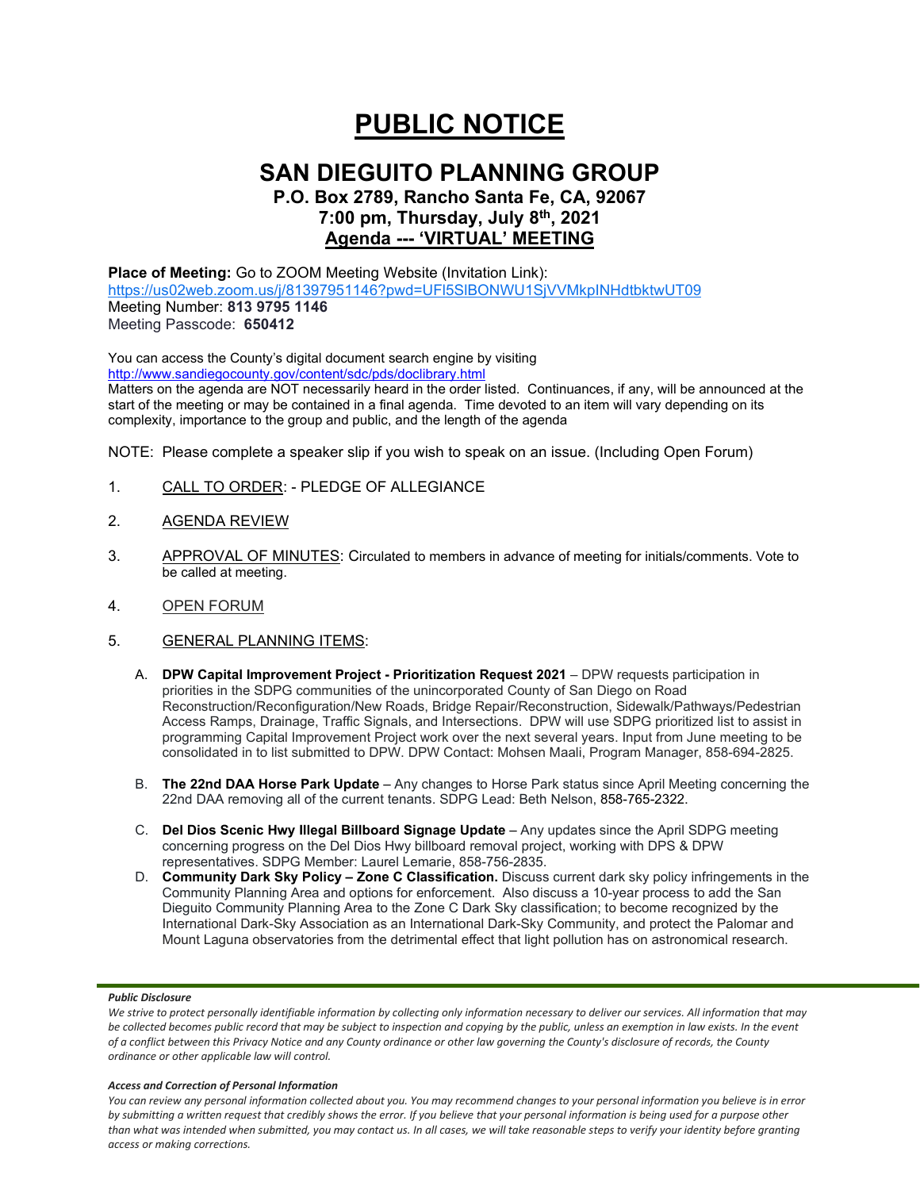# **PUBLIC NOTICE**

## **SAN DIEGUITO PLANNING GROUP**

**P.O. Box 2789, Rancho Santa Fe, CA, 92067 7:00 pm, Thursday, July 8th, 2021 Agenda --- 'VIRTUAL' MEETING**

**Place of Meeting:** Go to ZOOM Meeting Website (Invitation Link): <https://us02web.zoom.us/j/81397951146?pwd=UFl5SlBONWU1SjVVMkpINHdtbktwUT09> Meeting Number: **813 9795 1146** Meeting Passcode: **650412**

You can access the County's digital document search engine by visiting <http://www.sandiegocounty.gov/content/sdc/pds/doclibrary.html>

Matters on the agenda are NOT necessarily heard in the order listed. Continuances, if any, will be announced at the start of the meeting or may be contained in a final agenda. Time devoted to an item will vary depending on its complexity, importance to the group and public, and the length of the agenda

NOTE: Please complete a speaker slip if you wish to speak on an issue. (Including Open Forum)

- 1. CALL TO ORDER: PLEDGE OF ALLEGIANCE
- 2. AGENDA REVIEW
- 3. APPROVAL OF MINUTES: Circulated to members in advance of meeting for initials/comments. Vote to be called at meeting.
- 4. OPEN FORUM
- 5. GENERAL PLANNING ITEMS:
	- A. **DPW Capital Improvement Project - Prioritization Request 2021** DPW requests participation in priorities in the SDPG communities of the unincorporated County of San Diego on Road Reconstruction/Reconfiguration/New Roads, Bridge Repair/Reconstruction, Sidewalk/Pathways/Pedestrian Access Ramps, Drainage, Traffic Signals, and Intersections. DPW will use SDPG prioritized list to assist in programming Capital Improvement Project work over the next several years. Input from June meeting to be consolidated in to list submitted to DPW. DPW Contact: Mohsen Maali, Program Manager, 858-694-2825.
	- B. **The 22nd DAA Horse Park Update** Any changes to Horse Park status since April Meeting concerning the 22nd DAA removing all of the current tenants. SDPG Lead: Beth Nelson, 858-765-2322.
	- C. **Del Dios Scenic Hwy Illegal Billboard Signage Update** Any updates since the April SDPG meeting concerning progress on the Del Dios Hwy billboard removal project, working with DPS & DPW representatives. SDPG Member: Laurel Lemarie, 858-756-2835.
	- D. **Community Dark Sky Policy – Zone C Classification.** Discuss current dark sky policy infringements in the Community Planning Area and options for enforcement. Also discuss a 10-year process to add the San Dieguito Community Planning Area to the Zone C Dark Sky classification; to become recognized by the International Dark-Sky Association as an International Dark-Sky Community, and protect the Palomar and Mount Laguna observatories from the detrimental effect that light pollution has on astronomical research.

#### *Public Disclosure*

#### *Access and Correction of Personal Information*

*You can review any personal information collected about you. You may recommend changes to your personal information you believe is in error by submitting a written request that credibly shows the error. If you believe that your personal information is being used for a purpose other than what was intended when submitted, you may contact us. In all cases, we will take reasonable steps to verify your identity before granting access or making corrections.*

We strive to protect personally identifiable information by collecting only information necessary to deliver our services. All information that may *be collected becomes public record that may be subject to inspection and copying by the public, unless an exemption in law exists. In the event of a conflict between this Privacy Notice and any County ordinance or other law governing the County's disclosure of records, the County ordinance or other applicable law will control.*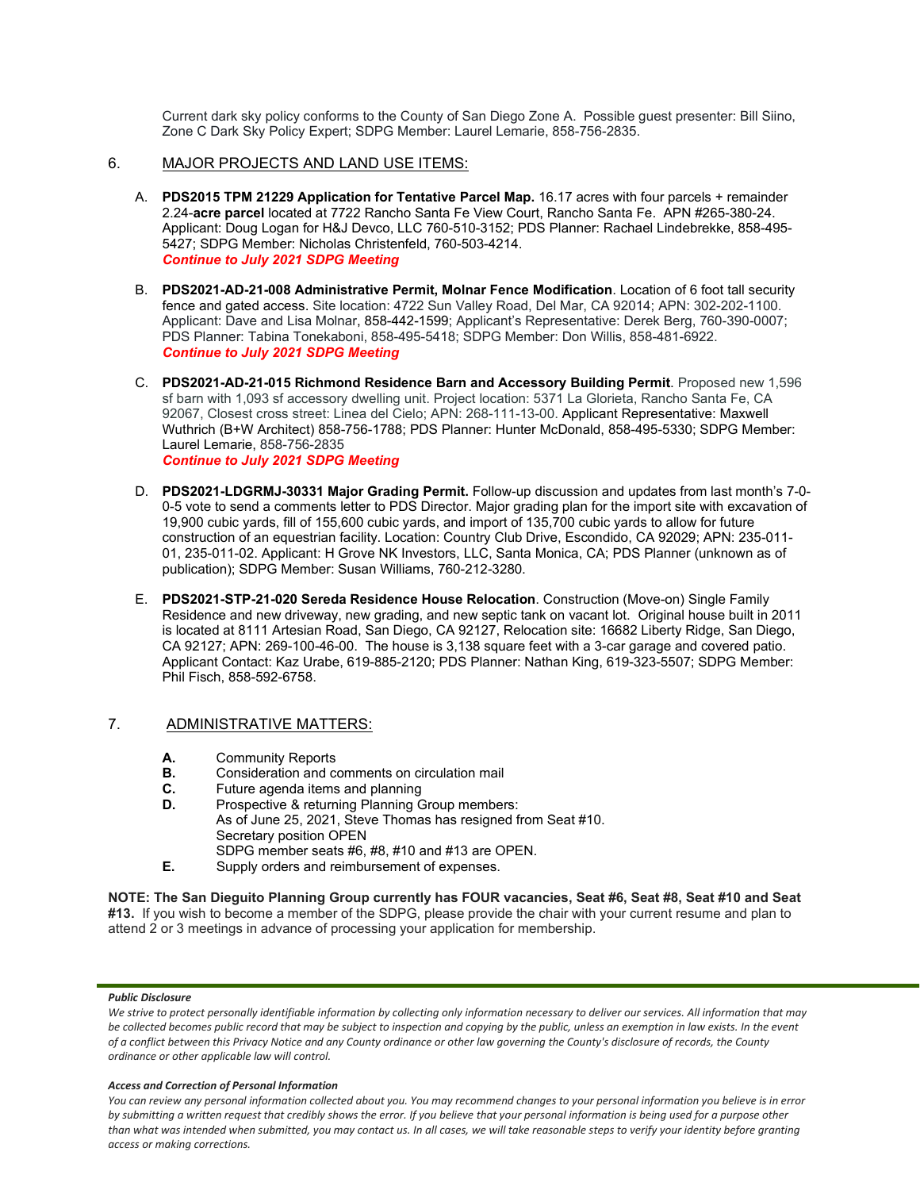Current dark sky policy conforms to the County of San Diego Zone A. Possible guest presenter: Bill Siino, Zone C Dark Sky Policy Expert; SDPG Member: Laurel Lemarie, 858-756-2835.

#### 6. MAJOR PROJECTS AND LAND USE ITEMS:

- A. **PDS2015 TPM 21229 Application for Tentative Parcel Map.** 16.17 acres with four parcels + remainder 2.24-**acre parcel** located at 7722 Rancho Santa Fe View Court, Rancho Santa Fe. APN #265-380-24. Applicant: Doug Logan for H&J Devco, LLC 760-510-3152; PDS Planner: Rachael Lindebrekke, 858-495- 5427; SDPG Member: Nicholas Christenfeld, 760-503-4214. *Continue to July 2021 SDPG Meeting*
- B. **PDS2021-AD-21-008 Administrative Permit, Molnar Fence Modification**. Location of 6 foot tall security fence and gated access. Site location: 4722 Sun Valley Road, Del Mar, CA 92014; APN: 302-202-1100. Applicant: Dave and Lisa Molnar, 858-442-1599; Applicant's Representative: Derek Berg, 760-390-0007; PDS Planner: Tabina Tonekaboni, 858-495-5418; SDPG Member: Don Willis, 858-481-6922. *Continue to July 2021 SDPG Meeting*
- C. **PDS2021-AD-21-015 Richmond Residence Barn and Accessory Building Permit**. Proposed new 1,596 sf barn with 1,093 sf accessory dwelling unit. Project location: 5371 La Glorieta, Rancho Santa Fe, CA 92067, Closest cross street: Linea del Cielo; APN: 268-111-13-00. Applicant Representative: Maxwell Wuthrich (B+W Architect) 858-756-1788; PDS Planner: Hunter McDonald, 858-495-5330; SDPG Member: Laurel Lemarie, 858-756-2835 *Continue to July 2021 SDPG Meeting*
- D. **PDS2021-LDGRMJ-30331 Major Grading Permit.** Follow-up discussion and updates from last month's 7-0- 0-5 vote to send a comments letter to PDS Director. Major grading plan for the import site with excavation of 19,900 cubic yards, fill of 155,600 cubic yards, and import of 135,700 cubic yards to allow for future construction of an equestrian facility. Location: Country Club Drive, Escondido, CA 92029; APN: 235-011- 01, 235-011-02. Applicant: H Grove NK Investors, LLC, Santa Monica, CA; PDS Planner (unknown as of publication); SDPG Member: Susan Williams, 760-212-3280.
- E. **PDS2021-STP-21-020 Sereda Residence House Relocation**. Construction (Move-on) Single Family Residence and new driveway, new grading, and new septic tank on vacant lot. Original house built in 2011 is located at 8111 Artesian Road, San Diego, CA 92127, Relocation site: 16682 Liberty Ridge, San Diego, CA 92127; APN: 269-100-46-00. The house is 3,138 square feet with a 3-car garage and covered patio. Applicant Contact: Kaz Urabe, 619-885-2120; PDS Planner: Nathan King, 619-323-5507; SDPG Member: Phil Fisch, 858-592-6758.

### 7. ADMINISTRATIVE MATTERS:

- **A.** Community Reports
- **B.** Consideration and comments on circulation mail
- **C.** Future agenda items and planning<br>**D.** Prospective & returning Planning G
- Prospective & returning Planning Group members: As of June 25, 2021, Steve Thomas has resigned from Seat #10. Secretary position OPEN SDPG member seats #6, #8, #10 and #13 are OPEN.
- **E.** Supply orders and reimbursement of expenses.

**NOTE: The San Dieguito Planning Group currently has FOUR vacancies, Seat #6, Seat #8, Seat #10 and Seat #13.** If you wish to become a member of the SDPG, please provide the chair with your current resume and plan to attend 2 or 3 meetings in advance of processing your application for membership.

#### *Public Disclosure*

We strive to protect personally identifiable information by collecting only information necessary to deliver our services. All information that may *be collected becomes public record that may be subject to inspection and copying by the public, unless an exemption in law exists. In the event of a conflict between this Privacy Notice and any County ordinance or other law governing the County's disclosure of records, the County ordinance or other applicable law will control.*

#### *Access and Correction of Personal Information*

*You can review any personal information collected about you. You may recommend changes to your personal information you believe is in error by submitting a written request that credibly shows the error. If you believe that your personal information is being used for a purpose other than what was intended when submitted, you may contact us. In all cases, we will take reasonable steps to verify your identity before granting access or making corrections.*